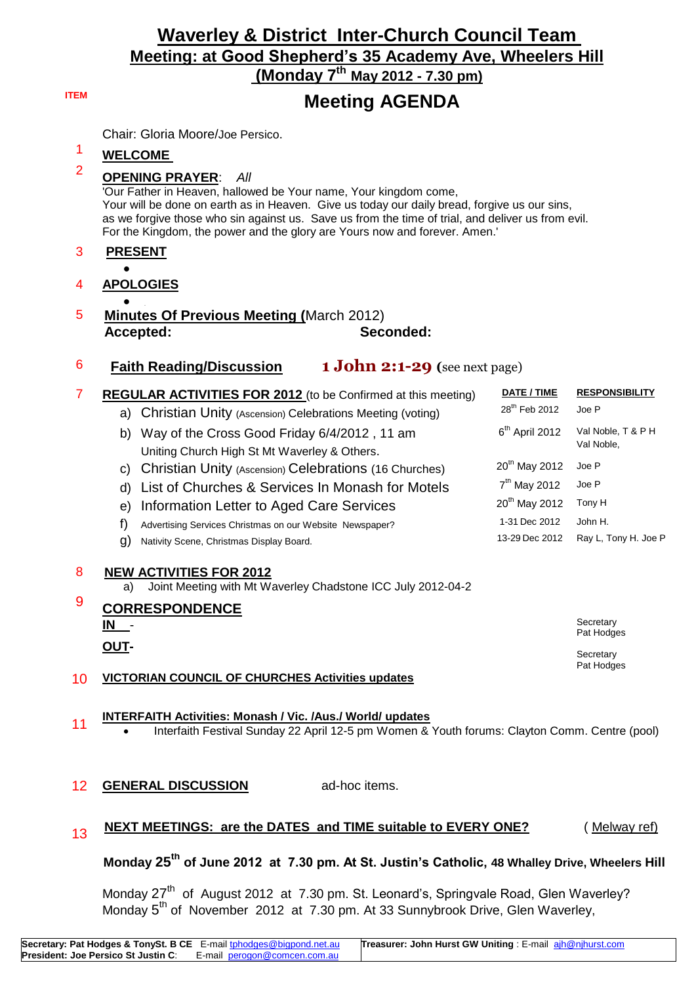# **Waverley & District Inter-Church Council Team Meeting: at Good Shepherd's 35 Academy Ave, Wheelers Hill**

**(Monday 7 th May 2012 - 7.30 pm)**

## **ITEM Meeting AGENDA**

Chair: Gloria Moore/Joe Persico.

# <sup>1</sup> **WELCOME**

#### <sup>2</sup> **OPENING PRAYER**: *All*

'Our Father in Heaven, hallowed be Your name, Your kingdom come, Your will be done on earth as in Heaven. Give us today our daily bread, forgive us our sins, as we forgive those who sin against us. Save us from the time of trial, and deliver us from evil. For the Kingdom, the power and the glory are Yours now and forever. Amen.'

#### 3 **PRESENT**

#### $\bullet$ 4 **APOLOGIES**

- $\bullet$
- 5 **Minutes Of Previous Meeting (**March 2012) **Accepted: Seconded:**
- 6 **Faith Reading/Discussion 1 John 2:1-29 (**see next page)

| 7      | <b>REGULAR ACTIVITIES FOR 2012</b> (to be Confirmed at this meeting)<br>a) Christian Unity (Ascension) Celebrations Meeting (voting) | DATE / TIME<br>28 <sup>th</sup> Feb 2012 | <b>RESPONSIBILITY</b><br>Joe P   |
|--------|--------------------------------------------------------------------------------------------------------------------------------------|------------------------------------------|----------------------------------|
|        | Way of the Cross Good Friday 6/4/2012, 11 am<br>b)<br>Uniting Church High St Mt Waverley & Others.                                   | $6th$ April 2012                         | Val Noble, T & P H<br>Val Noble, |
|        | Christian Unity (Ascension) Celebrations (16 Churches)<br>C)                                                                         | $20^{th}$ May 2012                       | Joe P                            |
|        | List of Churches & Services In Monash for Motels<br>d)                                                                               | $7th$ May 2012                           | Joe P                            |
|        | Information Letter to Aged Care Services<br>e)                                                                                       | $20th$ May 2012                          | Tony H                           |
|        | f)<br>Advertising Services Christmas on our Website Newspaper?                                                                       | 1-31 Dec 2012                            | John H.                          |
|        | g)<br>Nativity Scene, Christmas Display Board.                                                                                       | 13-29 Dec 2012                           | Ray L, Tony H. Joe P             |
| 8<br>9 | <b>NEW ACTIVITIES FOR 2012</b><br>Joint Meeting with Mt Waverley Chadstone ICC July 2012-04-2<br>a)<br><b>CORRESPONDENCE</b>         |                                          |                                  |
|        | IN I                                                                                                                                 |                                          | Secretary                        |
|        | <b>OUT-</b>                                                                                                                          |                                          | Pat Hodges                       |
| 10     | <b>VICTORIAN COUNCIL OF CHURCHES Activities updates</b>                                                                              |                                          | Secretary<br>Pat Hodges          |

#### <sup>11</sup> **INTERFAITH Activities: Monash / Vic. /Aus./ World/ updates**

Interfaith Festival Sunday 22 April 12-5 pm Women & Youth forums: Clayton Comm. Centre (pool)

#### 12 **GENERAL DISCUSSION** ad-hoc items.

#### 13 **NEXT MEETINGS: are the DATES and TIME suitable to EVERY ONE?** (Melway ref)

 **Monday 25th of June 2012 at 7.30 pm. At St. Justin's Catholic, 48 Whalley Drive, Wheelers Hill**

Monday 27<sup>th</sup> of August 2012 at 7.30 pm. St. Leonard's, Springvale Road, Glen Waverley? Monday 5<sup>th</sup> of November 2012 at 7.30 pm. At 33 Sunnybrook Drive, Glen Waverley,